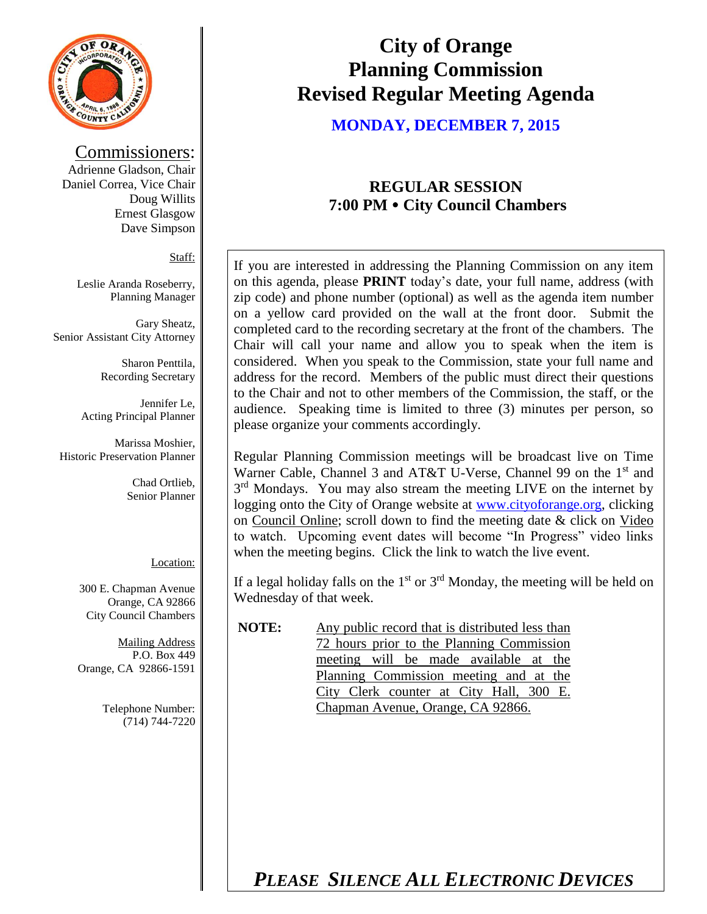

#### Commissioners:

Adrienne Gladson, Chair Daniel Correa, Vice Chair Doug Willits Ernest Glasgow Dave Simpson

Staff:

Leslie Aranda Roseberry, Planning Manager

Gary Sheatz, Senior Assistant City Attorney

> Sharon Penttila, Recording Secretary

Jennifer Le, Acting Principal Planner

Marissa Moshier, Historic Preservation Planner

> Chad Ortlieb, Senior Planner

#### Location:

300 E. Chapman Avenue Orange, CA 92866 City Council Chambers

Mailing Address P.O. Box 449 Orange, CA 92866-1591

> Telephone Number: (714) 744-7220

# **City of Orange Planning Commission Revised Regular Meeting Agenda**

**MONDAY, DECEMBER 7, 2015**

# **REGULAR SESSION 7:00 PM City Council Chambers**

If you are interested in addressing the Planning Commission on any item on this agenda, please **PRINT** today's date, your full name, address (with zip code) and phone number (optional) as well as the agenda item number on a yellow card provided on the wall at the front door. Submit the completed card to the recording secretary at the front of the chambers. The Chair will call your name and allow you to speak when the item is considered. When you speak to the Commission, state your full name and address for the record. Members of the public must direct their questions to the Chair and not to other members of the Commission, the staff, or the audience. Speaking time is limited to three (3) minutes per person, so please organize your comments accordingly.

Regular Planning Commission meetings will be broadcast live on Time Warner Cable, Channel 3 and AT&T U-Verse, Channel 99 on the 1<sup>st</sup> and 3<sup>rd</sup> Mondays. You may also stream the meeting LIVE on the internet by logging onto the City of Orange website at [www.cityoforange.org,](http://www.cityoforange.org/) clicking on Council Online; scroll down to find the meeting date & click on Video to watch. Upcoming event dates will become "In Progress" video links when the meeting begins. Click the link to watch the live event.

If a legal holiday falls on the  $1<sup>st</sup>$  or  $3<sup>rd</sup>$  Monday, the meeting will be held on Wednesday of that week.

**NOTE:** Any public record that is distributed less than 72 hours prior to the Planning Commission meeting will be made available at the Planning Commission meeting and at the City Clerk counter at City Hall, 300 E. Chapman Avenue, Orange, CA 92866.

*PLEASE SILENCE ALL ELECTRONIC DEVICES*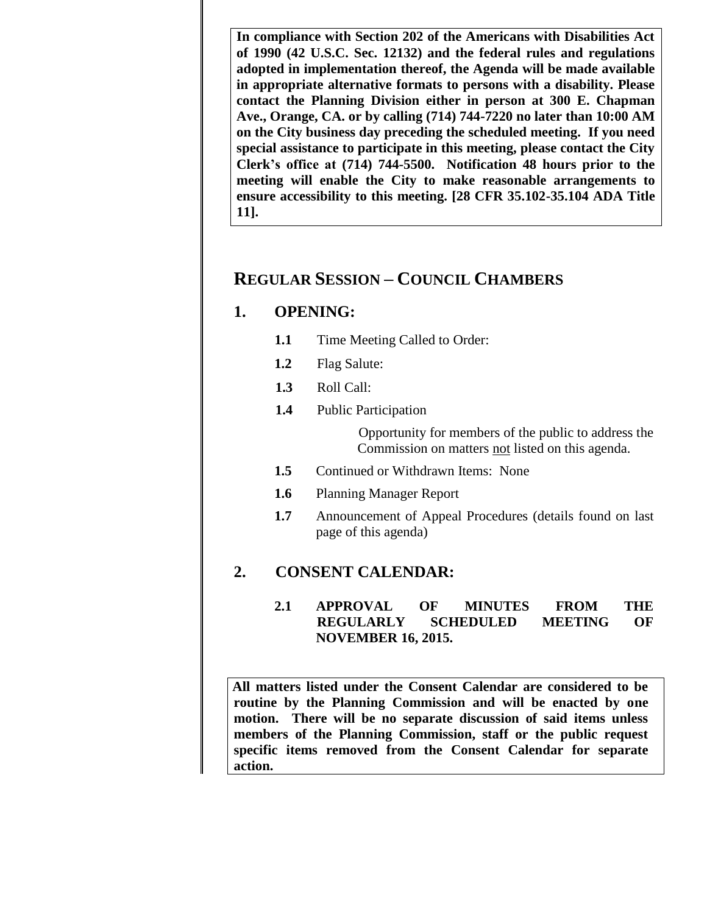**In compliance with Section 202 of the Americans with Disabilities Act of 1990 (42 U.S.C. Sec. 12132) and the federal rules and regulations adopted in implementation thereof, the Agenda will be made available in appropriate alternative formats to persons with a disability. Please contact the Planning Division either in person at 300 E. Chapman Ave., Orange, CA. or by calling (714) 744-7220 no later than 10:00 AM on the City business day preceding the scheduled meeting. If you need special assistance to participate in this meeting, please contact the City Clerk's office at (714) 744-5500. Notification 48 hours prior to the meeting will enable the City to make reasonable arrangements to ensure accessibility to this meeting. [28 CFR 35.102-35.104 ADA Title 11].**

# **REGULAR SESSION – COUNCIL CHAMBERS**

### **1. OPENING:**

- **1.1** Time Meeting Called to Order:
- **1.2** Flag Salute:
- **1.3** Roll Call:
- **1.4** Public Participation

Opportunity for members of the public to address the Commission on matters not listed on this agenda.

- **1.5** Continued or Withdrawn Items: None
- **1.6** Planning Manager Report
- **1.7** Announcement of Appeal Procedures (details found on last page of this agenda)

### **2. CONSENT CALENDAR:**

### **2.1 APPROVAL OF MINUTES FROM THE REGULARLY SCHEDULED MEETING OF NOVEMBER 16, 2015.**

**All matters listed under the Consent Calendar are considered to be routine by the Planning Commission and will be enacted by one motion. There will be no separate discussion of said items unless members of the Planning Commission, staff or the public request specific items removed from the Consent Calendar for separate action.**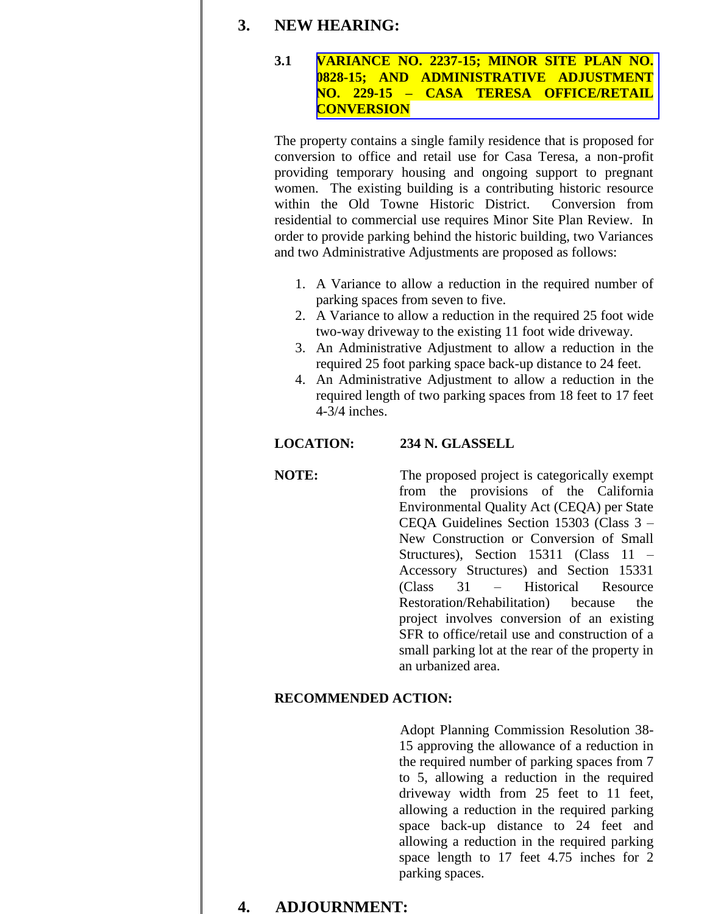### **3. NEW HEARING:**

#### **3.1 [VARIANCE NO. 2237-15; MINOR SITE PLAN NO.](http://www.cityoforange.org/civicax/filebank/blobdload.aspx?BlobID=16905)  0828-15; AND ADMINISTRATIVE ADJUSTMENT NO. 229-15 – CASA TERESA OFFICE/RETAIL CONVERSION**

The property contains a single family residence that is proposed for conversion to office and retail use for Casa Teresa, a non-profit providing temporary housing and ongoing support to pregnant women. The existing building is a contributing historic resource within the Old Towne Historic District. Conversion from residential to commercial use requires Minor Site Plan Review. In order to provide parking behind the historic building, two Variances and two Administrative Adjustments are proposed as follows:

- 1. A Variance to allow a reduction in the required number of parking spaces from seven to five.
- 2. A Variance to allow a reduction in the required 25 foot wide two-way driveway to the existing 11 foot wide driveway.
- 3. An Administrative Adjustment to allow a reduction in the required 25 foot parking space back-up distance to 24 feet.
- 4. An Administrative Adjustment to allow a reduction in the required length of two parking spaces from 18 feet to 17 feet 4-3/4 inches.

### **LOCATION: 234 N. GLASSELL**

**NOTE:** The proposed project is categorically exempt from the provisions of the California Environmental Quality Act (CEQA) per State CEQA Guidelines Section 15303 (Class 3 – New Construction or Conversion of Small Structures), Section 15311 (Class 11 – Accessory Structures) and Section 15331 (Class 31 – Historical Resource Restoration/Rehabilitation) because the project involves conversion of an existing SFR to office/retail use and construction of a small parking lot at the rear of the property in an urbanized area.

### **RECOMMENDED ACTION:**

Adopt Planning Commission Resolution 38- 15 approving the allowance of a reduction in the required number of parking spaces from 7 to 5, allowing a reduction in the required driveway width from 25 feet to 11 feet, allowing a reduction in the required parking space back-up distance to 24 feet and allowing a reduction in the required parking space length to 17 feet 4.75 inches for 2 parking spaces.

### **4. ADJOURNMENT:**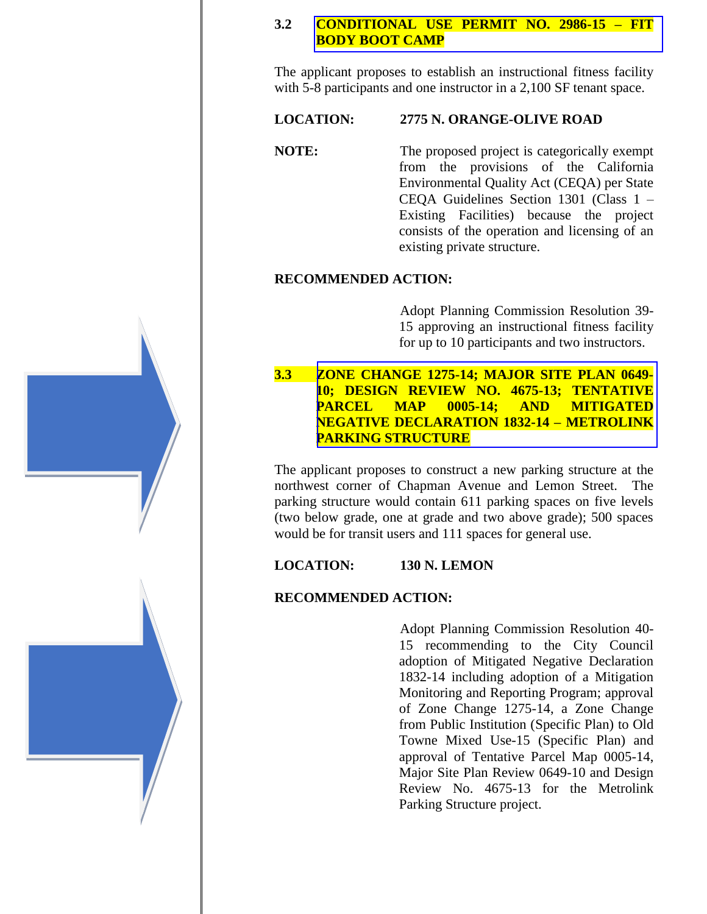#### **3.2 [CONDITIONAL USE PERMIT NO. 2986-15 –](http://www.cityoforange.org/civicax/filebank/blobdload.aspx?BlobID=16903) FIT BODY BOOT CAMP**

The applicant proposes to establish an instructional fitness facility with 5-8 participants and one instructor in a 2,100 SF tenant space.

#### **LOCATION: 2775 N. ORANGE-OLIVE ROAD**

**NOTE:** The proposed project is categorically exempt from the provisions of the California Environmental Quality Act (CEQA) per State CEQA Guidelines Section 1301 (Class 1 – Existing Facilities) because the project consists of the operation and licensing of an existing private structure.

#### **RECOMMENDED ACTION:**

Adopt Planning Commission Resolution 39- 15 approving an instructional fitness facility for up to 10 participants and two instructors.

**3.3 ZONE CHANGE 1275-14; MAJOR SITE PLAN 0649- [10; DESIGN REVIEW NO. 4675-13; TENTATIVE](http://www.cityoforange.org/civicax/filebank/blobdload.aspx?BlobID=16904)  PARCEL MAP 0005-14; AND MITIGATED NEGATIVE DECLARATION 1832-14 – METROLINK PARKING STRUCTURE**

The applicant proposes to construct a new parking structure at the northwest corner of Chapman Avenue and Lemon Street. The parking structure would contain 611 parking spaces on five levels (two below grade, one at grade and two above grade); 500 spaces would be for transit users and 111 spaces for general use.

### **LOCATION: 130 N. LEMON**

#### **RECOMMENDED ACTION:**

Adopt Planning Commission Resolution 40- 15 recommending to the City Council adoption of Mitigated Negative Declaration 1832-14 including adoption of a Mitigation Monitoring and Reporting Program; approval of Zone Change 1275-14, a Zone Change from Public Institution (Specific Plan) to Old Towne Mixed Use-15 (Specific Plan) and approval of Tentative Parcel Map 0005-14, Major Site Plan Review 0649-10 and Design Review No. 4675-13 for the Metrolink Parking Structure project.